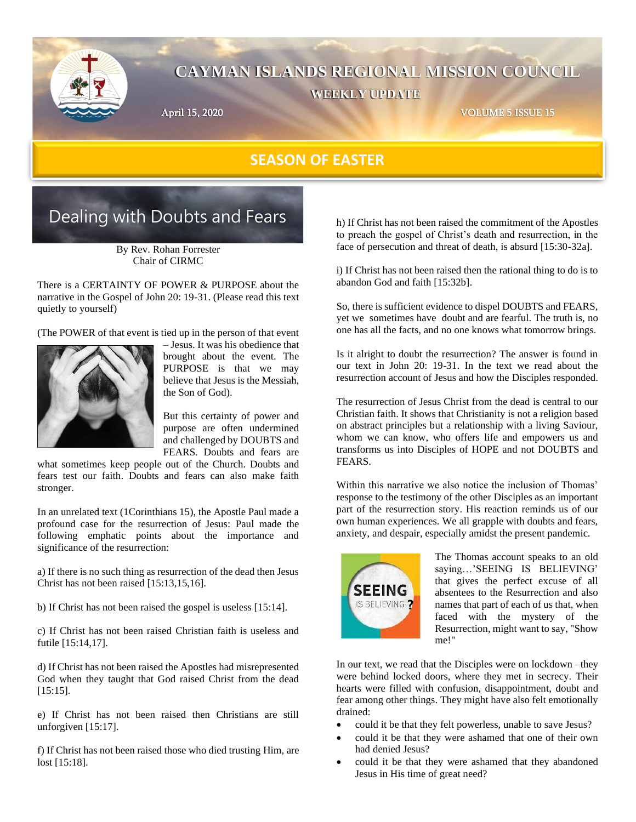

## **CAYMAN ISLANDS REGIONAL MISSION COUNCIL WEEKLY UPDATE**

April 15, 2020 VOLUME 5 ISSUE 15

#### $\overline{\phantom{a}}$  If there is no results who believe  $\overline{\phantom{a}}$ raised are to be more pitied than all other men [15:19]. **SEASON OF EASTER**

# Dealing with Doubts and Fears

By Rev. Rohan Forrester Chair of CIRMC

There is a CERTAINTY OF POWER & PURPOSE about the narrative in the Gospel of John 20: 19-31. (Please read this text quietly to yourself)

(The POWER of that event is tied up in the person of that event



– Jesus. It was his obedience that brought about the event. The PURPOSE is that we may believe that Jesus is the Messiah, the Son of God).

But this certainty of power and purpose are often undermined and challenged by DOUBTS and FEARS. Doubts and fears are

what sometimes keep people out of the Church. Doubts and fears test our faith. Doubts and fears can also make faith stronger.

In an unrelated text (1Corinthians 15), the Apostle Paul made a profound case for the resurrection of Jesus: Paul made the following emphatic points about the importance and significance of the resurrection:

a) If there is no such thing as resurrection of the dead then Jesus Christ has not been raised [15:13,15,16].

b) If Christ has not been raised the gospel is useless [15:14].

c) If Christ has not been raised Christian faith is useless and futile [15:14,17].

d) If Christ has not been raised the Apostles had misrepresented God when they taught that God raised Christ from the dead [15:15].

e) If Christ has not been raised then Christians are still unforgiven [15:17].

f) If Christ has not been raised those who died trusting Him, are lost [15:18].

h) If Christ has not been raised the commitment of the Apostles to preach the gospel of Christ's death and resurrection, in the face of persecution and threat of death, is absurd [15:30-32a].

i) If Christ has not been raised then the rational thing to do is to abandon God and faith [15:32b].

So, there is sufficient evidence to dispel DOUBTS and FEARS, yet we sometimes have doubt and are fearful. The truth is, no one has all the facts, and no one knows what tomorrow brings.

Is it alright to doubt the resurrection? The answer is found in our text in John 20: 19-31. In the text we read about the resurrection account of Jesus and how the Disciples responded.

The resurrection of Jesus Christ from the dead is central to our Christian faith. It shows that Christianity is not a religion based on abstract principles but a relationship with a living Saviour, whom we can know, who offers life and empowers us and transforms us into Disciples of HOPE and not DOUBTS and FEARS.

Within this narrative we also notice the inclusion of Thomas' response to the testimony of the other Disciples as an important part of the resurrection story. His reaction reminds us of our own human experiences. We all grapple with doubts and fears, anxiety, and despair, especially amidst the present pandemic.



The Thomas account speaks to an old saying…'SEEING IS BELIEVING' that gives the perfect excuse of all absentees to the Resurrection and also names that part of each of us that, when faced with the mystery of the Resurrection, might want to say, "Show me!"

In our text, we read that the Disciples were on lockdown –they were behind locked doors, where they met in secrecy. Their hearts were filled with confusion, disappointment, doubt and fear among other things. They might have also felt emotionally drained:

- could it be that they felt powerless, unable to save Jesus?
- could it be that they were ashamed that one of their own had denied Jesus?
- could it be that they were ashamed that they abandoned Jesus in His time of great need?